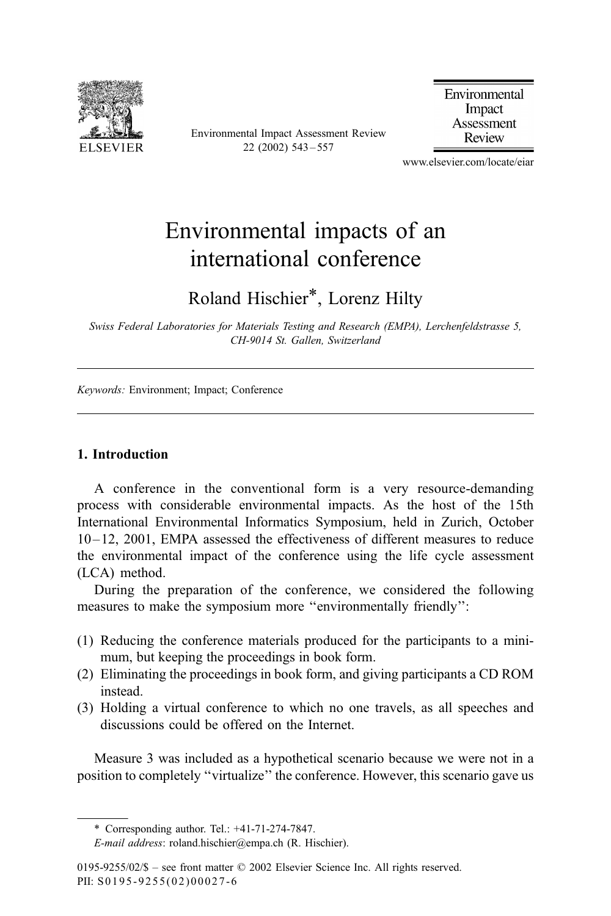

Environmental Impact Assessment Review 22 (2002) 543 – 557

Environmental Impact Assessment Review

www.elsevier.com/locate/eiar

# Environmental impacts of an international conference

# Roland Hischier\*, Lorenz Hilty

Swiss Federal Laboratories for Materials Testing and Research (EMPA), Lerchenfeldstrasse 5, CH-9014 St. Gallen, Switzerland

Keywords: Environment; Impact; Conference

### 1. Introduction

A conference in the conventional form is a very resource-demanding process with considerable environmental impacts. As the host of the 15th International Environmental Informatics Symposium, held in Zurich, October 10 –12, 2001, EMPA assessed the effectiveness of different measures to reduce the environmental impact of the conference using the life cycle assessment (LCA) method.

During the preparation of the conference, we considered the following measures to make the symposium more ''environmentally friendly'':

- (1) Reducing the conference materials produced for the participants to a minimum, but keeping the proceedings in book form.
- (2) Eliminating the proceedings in book form, and giving participants a CD ROM instead.
- (3) Holding a virtual conference to which no one travels, as all speeches and discussions could be offered on the Internet.

Measure 3 was included as a hypothetical scenario because we were not in a position to completely ''virtualize'' the conference. However, this scenario gave us

<sup>\*</sup> Corresponding author. Tel.: +41-71-274-7847.

E-mail address: roland.hischier@empa.ch (R. Hischier).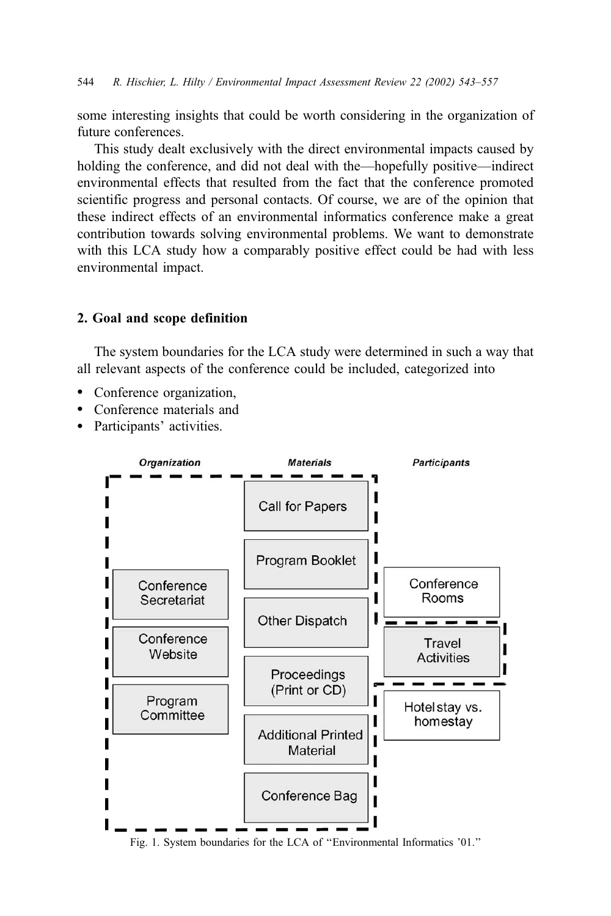<span id="page-1-0"></span>some interesting insights that could be worth considering in the organization of future conferences.

This study dealt exclusively with the direct environmental impacts caused by holding the conference, and did not deal with the—hopefully positive—indirect environmental effects that resulted from the fact that the conference promoted scientific progress and personal contacts. Of course, we are of the opinion that these indirect effects of an environmental informatics conference make a great contribution towards solving environmental problems. We want to demonstrate with this LCA study how a comparably positive effect could be had with less environmental impact.

#### 2. Goal and scope definition

The system boundaries for the LCA study were determined in such a way that all relevant aspects of the conference could be included, categorized into

- Conference organization,
- Conference materials and
- Participants' activities.



Fig. 1. System boundaries for the LCA of ''Environmental Informatics '01.''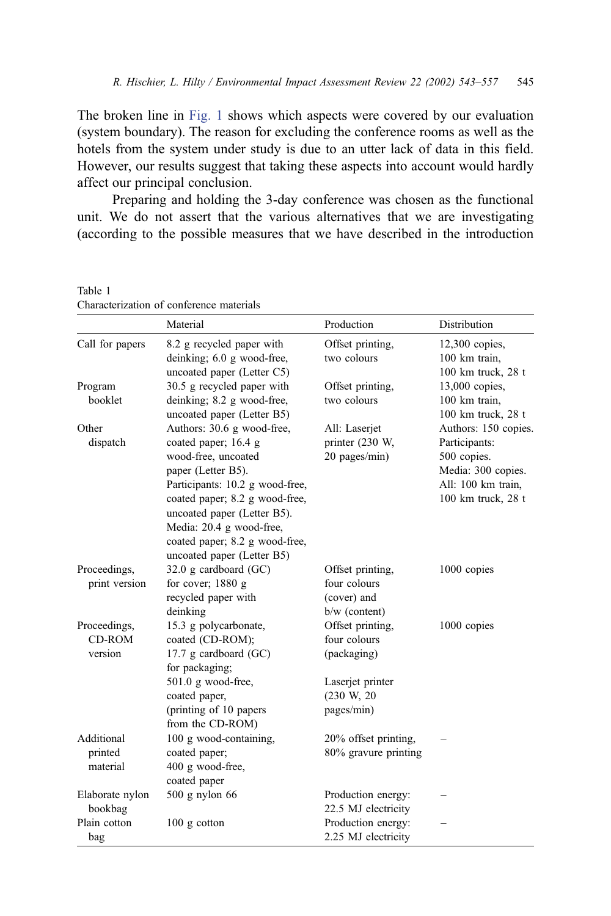<span id="page-2-0"></span>The broken line in [Fig. 1](#page-1-0) shows which aspects were covered by our evaluation (system boundary). The reason for excluding the conference rooms as well as the hotels from the system under study is due to an utter lack of data in this field. However, our results suggest that taking these aspects into account would hardly affect our principal conclusion.

Preparing and holding the 3-day conference was chosen as the functional unit. We do not assert that the various alternatives that we are investigating (according to the possible measures that we have described in the introduction

|                                            | Material                                                                                                                                                                                                                                                                                        | Production                                                                                       | Distribution                                                                                                           |
|--------------------------------------------|-------------------------------------------------------------------------------------------------------------------------------------------------------------------------------------------------------------------------------------------------------------------------------------------------|--------------------------------------------------------------------------------------------------|------------------------------------------------------------------------------------------------------------------------|
| Call for papers                            | 8.2 g recycled paper with<br>deinking; 6.0 g wood-free,<br>uncoated paper (Letter C5)                                                                                                                                                                                                           | Offset printing,<br>two colours                                                                  | 12,300 copies,<br>100 km train,<br>100 km truck, 28 t                                                                  |
| Program<br>booklet                         | 30.5 g recycled paper with<br>deinking; 8.2 g wood-free,<br>uncoated paper (Letter B5)                                                                                                                                                                                                          | Offset printing,<br>two colours                                                                  | 13,000 copies,<br>100 km train,<br>100 km truck, 28 t                                                                  |
| Other<br>dispatch                          | Authors: 30.6 g wood-free,<br>coated paper; 16.4 g<br>wood-free, uncoated<br>paper (Letter B5).<br>Participants: 10.2 g wood-free,<br>coated paper; 8.2 g wood-free,<br>uncoated paper (Letter B5).<br>Media: 20.4 g wood-free,<br>coated paper; 8.2 g wood-free,<br>uncoated paper (Letter B5) | All: Laserjet<br>printer (230 W,<br>20 pages/min)                                                | Authors: 150 copies.<br>Participants:<br>500 copies.<br>Media: 300 copies.<br>All: 100 km train,<br>100 km truck, 28 t |
| Proceedings,<br>print version              | 32.0 g cardboard $(GC)$<br>for cover; 1880 g<br>recycled paper with<br>deinking                                                                                                                                                                                                                 | Offset printing,<br>four colours<br>(cover) and<br>$b/w$ (content)                               | 1000 copies                                                                                                            |
| Proceedings,<br>CD-ROM<br>version          | 15.3 g polycarbonate,<br>coated (CD-ROM);<br>17.7 g cardboard $(GC)$<br>for packaging;<br>$501.0$ g wood-free,<br>coated paper,<br>(printing of 10 papers                                                                                                                                       | Offset printing,<br>four colours<br>(packaging)<br>Laserjet printer<br>(230 W, 20)<br>pages/min) | 1000 copies                                                                                                            |
| Additional<br>printed<br>material          | from the CD-ROM)<br>100 g wood-containing,<br>coated paper;<br>400 g wood-free,<br>coated paper                                                                                                                                                                                                 | 20% offset printing,<br>80% gravure printing                                                     |                                                                                                                        |
| Elaborate nylon<br>bookbag<br>Plain cotton | 500 g nylon 66<br>$100 \text{ g}$ cotton                                                                                                                                                                                                                                                        | Production energy:<br>22.5 MJ electricity<br>Production energy:                                  |                                                                                                                        |
| bag                                        |                                                                                                                                                                                                                                                                                                 | 2.25 MJ electricity                                                                              |                                                                                                                        |

Table 1 Characterization of conference materials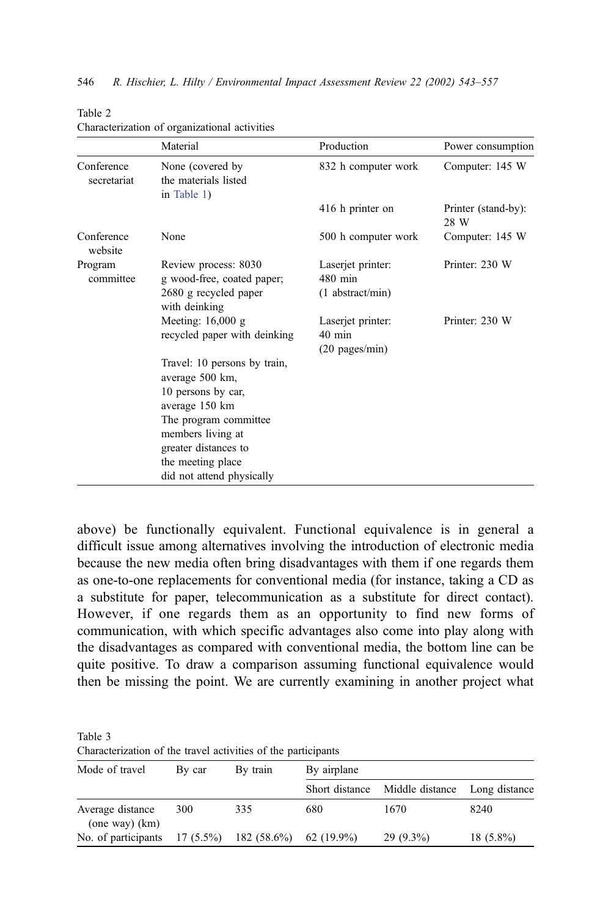|                           | Material                                                                                                                                                                                                        | Production                                                        | Power consumption           |
|---------------------------|-----------------------------------------------------------------------------------------------------------------------------------------------------------------------------------------------------------------|-------------------------------------------------------------------|-----------------------------|
| Conference<br>secretariat | None (covered by<br>the materials listed<br>in Table $1)$                                                                                                                                                       | 832 h computer work                                               | Computer: 145 W             |
|                           |                                                                                                                                                                                                                 | 416 h printer on                                                  | Printer (stand-by):<br>28 W |
| Conference<br>website     | None                                                                                                                                                                                                            | 500 h computer work                                               | Computer: 145 W             |
| Program<br>committee      | Review process: 8030<br>g wood-free, coated paper;<br>2680 g recycled paper<br>with deinking                                                                                                                    | Laserjet printer:<br>480 min<br>$(1$ abstract/min)                | Printer: 230 W              |
|                           | Meeting: $16,000$ g<br>recycled paper with deinking                                                                                                                                                             | Laserjet printer:<br>$40 \text{ min}$<br>$(20 \text{ pages/min})$ | Printer: 230 W              |
|                           | Travel: 10 persons by train,<br>average 500 km,<br>10 persons by car,<br>average 150 km<br>The program committee<br>members living at<br>greater distances to<br>the meeting place<br>did not attend physically |                                                                   |                             |

<span id="page-3-0"></span>Table 2 Characterization of organizational activities

above) be functionally equivalent. Functional equivalence is in general a difficult issue among alternatives involving the introduction of electronic media because the new media often bring disadvantages with them if one regards them as one-to-one replacements for conventional media (for instance, taking a CD as a substitute for paper, telecommunication as a substitute for direct contact). However, if one regards them as an opportunity to find new forms of communication, with which specific advantages also come into play along with the disadvantages as compared with conventional media, the bottom line can be quite positive. To draw a comparison assuming functional equivalence would then be missing the point. We are currently examining in another project what

Table 3 Characterization of the travel activities of the participants

| Mode of travel                     | By car      | By train      | By airplane    |                 |               |
|------------------------------------|-------------|---------------|----------------|-----------------|---------------|
|                                    |             |               | Short distance | Middle distance | Long distance |
| Average distance<br>(one way) (km) | 300         | 335           | 680            | 1670            | 8240          |
| No. of participants                | $17(5.5\%)$ | $182(58.6\%)$ | $62(19.9\%)$   | $29(9.3\%)$     | $18(5.8\%)$   |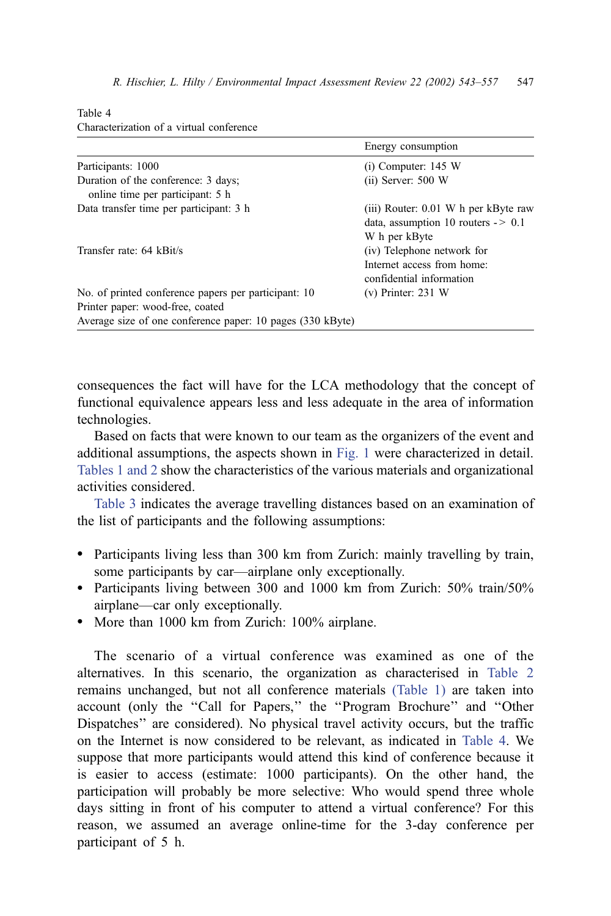|                                                                         | Energy consumption                                                                              |
|-------------------------------------------------------------------------|-------------------------------------------------------------------------------------------------|
| Participants: 1000                                                      | $(i)$ Computer: 145 W                                                                           |
| Duration of the conference: 3 days;<br>online time per participant: 5 h | $(ii)$ Server: 500 W                                                                            |
| Data transfer time per participant: 3 h                                 | (iii) Router: 0.01 W h per kByte raw<br>data, assumption 10 routers $\sim 0.1$<br>W h per kByte |
| Transfer rate: 64 kBit/s                                                | (iv) Telephone network for<br>Internet access from home:<br>confidential information            |
| No. of printed conference papers per participant: 10                    | $(v)$ Printer: 231 W                                                                            |
| Printer paper: wood-free, coated                                        |                                                                                                 |
| Average size of one conference paper: 10 pages (330 kByte)              |                                                                                                 |

#### <span id="page-4-0"></span>Table 4 Characterization of a virtual conference

consequences the fact will have for the LCA methodology that the concept of functional equivalence appears less and less adequate in the area of information technologies.

Based on facts that were known to our team as the organizers of the event and additional assumptions, the aspects shown in [Fig. 1](#page-1-0) were characterized in detail. [Tables 1 and 2](#page-2-0) show the characteristics of the various materials and organizational activities considered.

[Table 3](#page-3-0) indicates the average travelling distances based on an examination of the list of participants and the following assumptions:

- Participants living less than 300 km from Zurich: mainly travelling by train, some participants by car—airplane only exceptionally.
- Participants living between 300 and 1000 km from Zurich: 50% train/50% airplane—car only exceptionally.
- More than 1000 km from Zurich: 100% airplane.

The scenario of a virtual conference was examined as one of the alternatives. In this scenario, the organization as characterised in [Table 2](#page-3-0) remains unchanged, but not all conference materials [\(Table 1\)](#page-2-0) are taken into account (only the ''Call for Papers,'' the ''Program Brochure'' and ''Other Dispatches'' are considered). No physical travel activity occurs, but the traffic on the Internet is now considered to be relevant, as indicated in Table 4. We suppose that more participants would attend this kind of conference because it is easier to access (estimate: 1000 participants). On the other hand, the participation will probably be more selective: Who would spend three whole days sitting in front of his computer to attend a virtual conference? For this reason, we assumed an average online-time for the 3-day conference per participant of 5 h.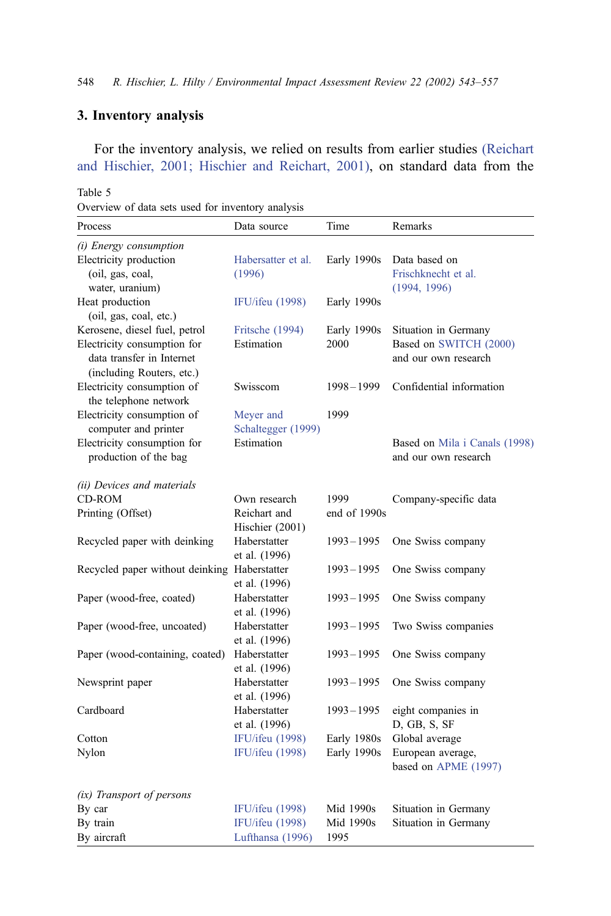## <span id="page-5-0"></span>3. Inventory analysis

For the inventory analysis, we relied on results from earlier studies [\(Reichart](#page-13-0) and Hischier, 2001; Hischier and Reichart, 2001), on standard data from the

Table 5

Overview of data sets used for inventory analysis

| Process                                      | Data source            | Time          | Remarks                       |
|----------------------------------------------|------------------------|---------------|-------------------------------|
| (i) Energy consumption                       |                        |               |                               |
| Electricity production                       | Habersatter et al.     | Early 1990s   | Data based on                 |
| (oil, gas, coal,                             | (1996)                 |               | Frischknecht et al.           |
| water, uranium)                              |                        |               | (1994, 1996)                  |
| Heat production                              | <b>IFU/ifeu</b> (1998) | Early 1990s   |                               |
| (oil, gas, coal, etc.)                       |                        |               |                               |
| Kerosene, diesel fuel, petrol                | Fritsche (1994)        | Early 1990s   | Situation in Germany          |
| Electricity consumption for                  | Estimation             | 2000          | Based on SWITCH (2000)        |
| data transfer in Internet                    |                        |               | and our own research          |
| (including Routers, etc.)                    |                        |               |                               |
| Electricity consumption of                   | Swisscom               | $1998 - 1999$ | Confidential information      |
| the telephone network                        |                        |               |                               |
| Electricity consumption of                   | Meyer and              | 1999          |                               |
| computer and printer                         | Schaltegger (1999)     |               |                               |
| Electricity consumption for                  | Estimation             |               | Based on Mila i Canals (1998) |
| production of the bag                        |                        |               | and our own research          |
|                                              |                        |               |                               |
| (ii) Devices and materials                   |                        |               |                               |
| CD-ROM                                       | Own research           | 1999          | Company-specific data         |
| Printing (Offset)                            | Reichart and           | end of 1990s  |                               |
|                                              | Hischier (2001)        |               |                               |
| Recycled paper with deinking                 | Haberstatter           | $1993 - 1995$ | One Swiss company             |
|                                              | et al. (1996)          |               |                               |
| Recycled paper without deinking Haberstatter |                        | $1993 - 1995$ | One Swiss company             |
|                                              | et al. (1996)          |               |                               |
| Paper (wood-free, coated)                    | Haberstatter           | $1993 - 1995$ | One Swiss company             |
|                                              | et al. (1996)          |               |                               |
| Paper (wood-free, uncoated)                  | Haberstatter           | $1993 - 1995$ | Two Swiss companies           |
|                                              | et al. (1996)          |               |                               |
| Paper (wood-containing, coated)              | Haberstatter           | $1993 - 1995$ | One Swiss company             |
|                                              | et al. (1996)          |               |                               |
| Newsprint paper                              | Haberstatter           | $1993 - 1995$ | One Swiss company             |
|                                              | et al. (1996)          |               |                               |
| Cardboard                                    | Haberstatter           | $1993 - 1995$ | eight companies in            |
|                                              | et al. (1996)          |               | D, GB, S, SF                  |
| Cotton                                       | <b>IFU/ifeu</b> (1998) | Early 1980s   | Global average                |
| Nylon                                        | <b>IFU/ifeu</b> (1998) | Early 1990s   | European average,             |
|                                              |                        |               | based on APME (1997)          |
|                                              |                        |               |                               |
| (ix) Transport of persons                    |                        |               |                               |
| By car                                       | IFU/ifeu $(1998)$      | Mid 1990s     | Situation in Germany          |
| By train                                     | IFU/ifeu (1998)        | Mid 1990s     | Situation in Germany          |
| By aircraft                                  | Lufthansa (1996)       | 1995          |                               |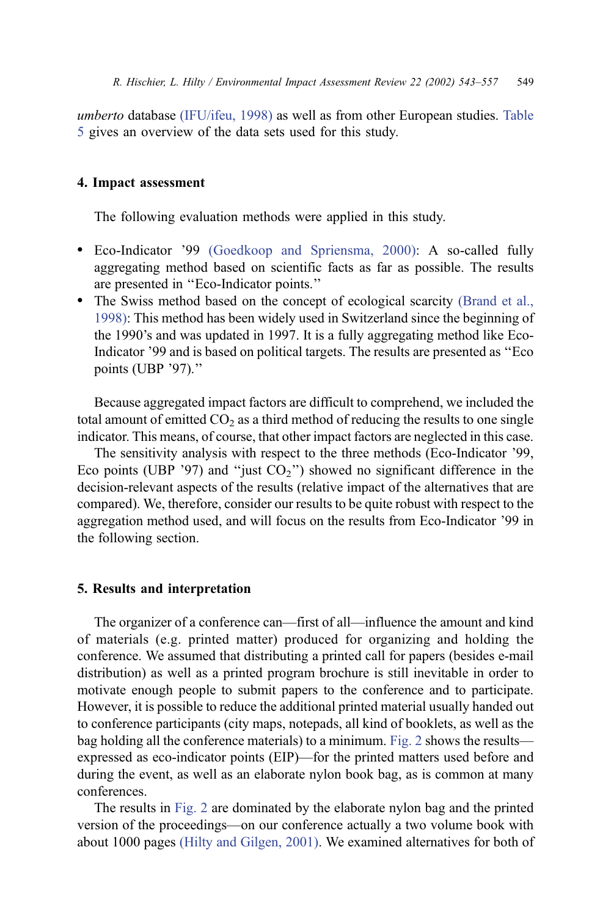umberto database [\(IFU/ifeu, 1998\)](#page-13-0) as well as from other European studies. [Table](#page-5-0) 5 gives an overview of the data sets used for this study.

#### 4. Impact assessment

The following evaluation methods were applied in this study.

- Eco-Indicator '99 [\(Goedkoop and Spriensma, 2000\):](#page-13-0) A so-called fully aggregating method based on scientific facts as far as possible. The results are presented in ''Eco-Indicator points.''
- The Swiss method based on the concept of ecological scarcity [\(Brand et al.,](#page-13-0) 1998): This method has been widely used in Switzerland since the beginning of the 1990's and was updated in 1997. It is a fully aggregating method like Eco-Indicator '99 and is based on political targets. The results are presented as ''Eco points (UBP '97).''

Because aggregated impact factors are difficult to comprehend, we included the total amount of emitted  $CO<sub>2</sub>$  as a third method of reducing the results to one single indicator. This means, of course, that other impact factors are neglected in this case.

The sensitivity analysis with respect to the three methods (Eco-Indicator '99, Eco points (UBP '97) and "just  $CO<sub>2</sub>$ ") showed no significant difference in the decision-relevant aspects of the results (relative impact of the alternatives that are compared). We, therefore, consider our results to be quite robust with respect to the aggregation method used, and will focus on the results from Eco-Indicator '99 in the following section.

#### 5. Results and interpretation

The organizer of a conference can—first of all—influence the amount and kind of materials (e.g. printed matter) produced for organizing and holding the conference. We assumed that distributing a printed call for papers (besides e-mail distribution) as well as a printed program brochure is still inevitable in order to motivate enough people to submit papers to the conference and to participate. However, it is possible to reduce the additional printed material usually handed out to conference participants (city maps, notepads, all kind of booklets, as well as the bag holding all the conference materials) to a minimum. [Fig. 2](#page-7-0) shows the results expressed as eco-indicator points (EIP)—for the printed matters used before and during the event, as well as an elaborate nylon book bag, as is common at many conferences.

The results in [Fig. 2](#page-7-0) are dominated by the elaborate nylon bag and the printed version of the proceedings—on our conference actually a two volume book with about 1000 pages [\(Hilty and Gilgen, 2001\).](#page-13-0) We examined alternatives for both of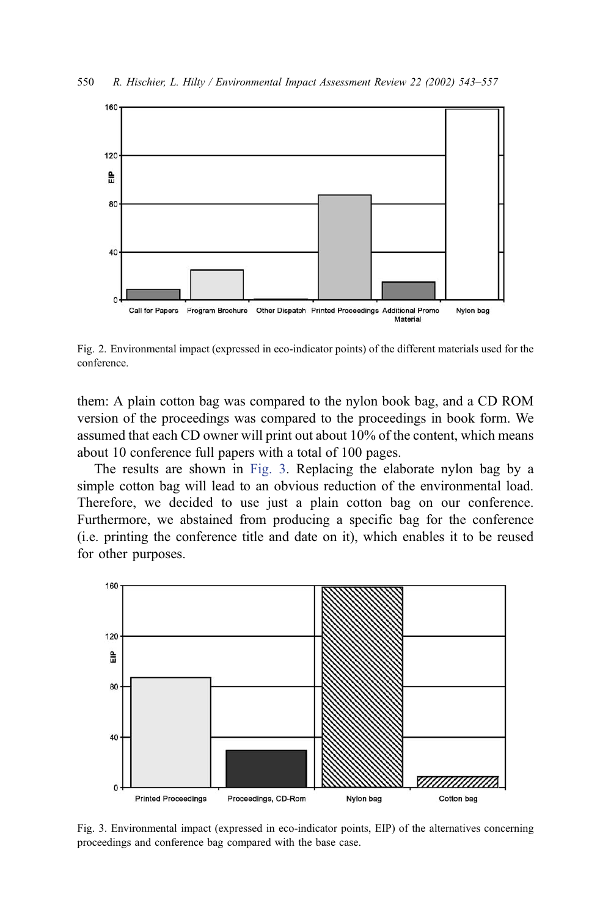<span id="page-7-0"></span>

Fig. 2. Environmental impact (expressed in eco-indicator points) of the different materials used for the conference.

them: A plain cotton bag was compared to the nylon book bag, and a CD ROM version of the proceedings was compared to the proceedings in book form. We assumed that each CD owner will print out about 10% of the content, which means about 10 conference full papers with a total of 100 pages.

The results are shown in Fig. 3. Replacing the elaborate nylon bag by a simple cotton bag will lead to an obvious reduction of the environmental load. Therefore, we decided to use just a plain cotton bag on our conference. Furthermore, we abstained from producing a specific bag for the conference (i.e. printing the conference title and date on it), which enables it to be reused for other purposes.



Fig. 3. Environmental impact (expressed in eco-indicator points, EIP) of the alternatives concerning proceedings and conference bag compared with the base case.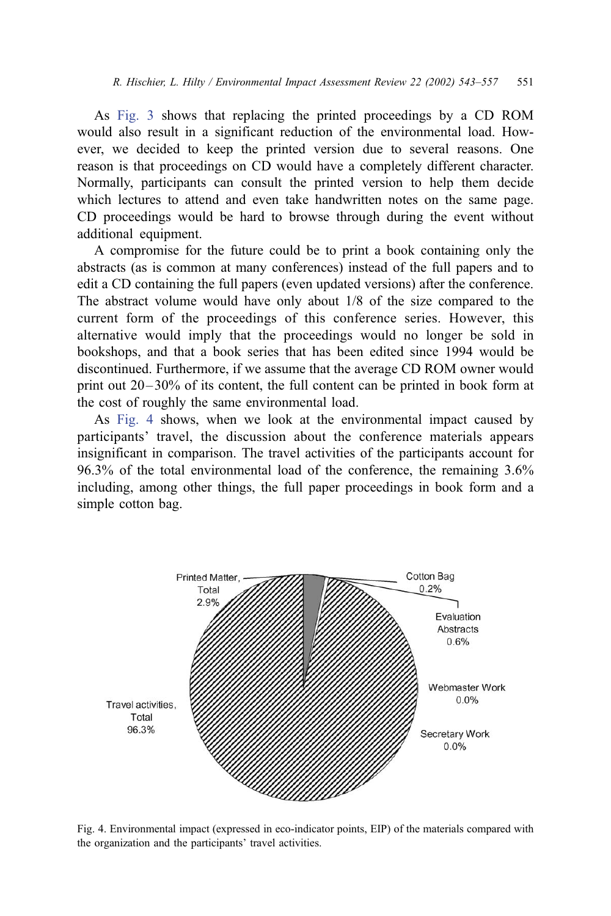<span id="page-8-0"></span>As [Fig. 3](#page-7-0) shows that replacing the printed proceedings by a CD ROM would also result in a significant reduction of the environmental load. However, we decided to keep the printed version due to several reasons. One reason is that proceedings on CD would have a completely different character. Normally, participants can consult the printed version to help them decide which lectures to attend and even take handwritten notes on the same page. CD proceedings would be hard to browse through during the event without additional equipment.

A compromise for the future could be to print a book containing only the abstracts (as is common at many conferences) instead of the full papers and to edit a CD containing the full papers (even updated versions) after the conference. The abstract volume would have only about 1/8 of the size compared to the current form of the proceedings of this conference series. However, this alternative would imply that the proceedings would no longer be sold in bookshops, and that a book series that has been edited since 1994 would be discontinued. Furthermore, if we assume that the average CD ROM owner would print out 20 –30% of its content, the full content can be printed in book form at the cost of roughly the same environmental load.

As Fig. 4 shows, when we look at the environmental impact caused by participants' travel, the discussion about the conference materials appears insignificant in comparison. The travel activities of the participants account for 96.3% of the total environmental load of the conference, the remaining 3.6% including, among other things, the full paper proceedings in book form and a simple cotton bag.



Fig. 4. Environmental impact (expressed in eco-indicator points, EIP) of the materials compared with the organization and the participants' travel activities.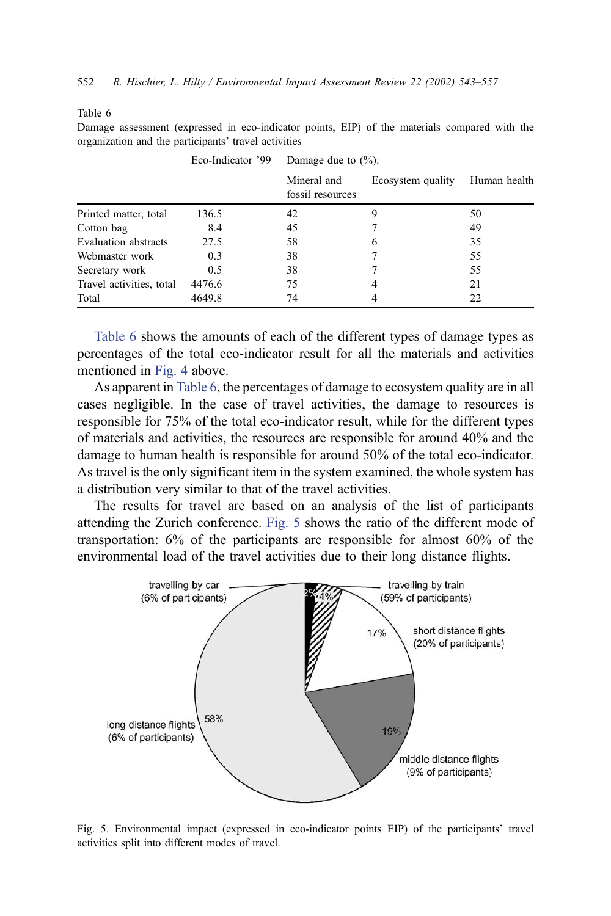Table 6

Damage assessment (expressed in eco-indicator points, EIP) of the materials compared with the organization and the participants' travel activities

|                             | Eco-Indicator '99 | Damage due to $(\frac{6}{6})$ : |   |                   |              |
|-----------------------------|-------------------|---------------------------------|---|-------------------|--------------|
|                             |                   | Mineral and<br>fossil resources |   | Ecosystem quality | Human health |
| Printed matter, total       | 136.5             | 42                              | Q | 50                |              |
| Cotton bag                  | 8.4               | 45                              |   | 49                |              |
| <b>Evaluation</b> abstracts | 27.5              | 58                              | 6 | 35                |              |
| Webmaster work              | 0.3               | 38                              |   | 55                |              |
| Secretary work              | 0.5               | 38                              |   | 55                |              |
| Travel activities, total    | 4476.6            | 75                              | 4 | 21                |              |
| Total                       | 4649.8            | 74                              |   | 22                |              |

Table 6 shows the amounts of each of the different types of damage types as percentages of the total eco-indicator result for all the materials and activities mentioned in [Fig. 4](#page-8-0) above.

As apparent in Table 6, the percentages of damage to ecosystem quality are in all cases negligible. In the case of travel activities, the damage to resources is responsible for 75% of the total eco-indicator result, while for the different types of materials and activities, the resources are responsible for around 40% and the damage to human health is responsible for around 50% of the total eco-indicator. As travel is the only significant item in the system examined, the whole system has a distribution very similar to that of the travel activities.

The results for travel are based on an analysis of the list of participants attending the Zurich conference. Fig. 5 shows the ratio of the different mode of transportation: 6% of the participants are responsible for almost 60% of the environmental load of the travel activities due to their long distance flights.



Fig. 5. Environmental impact (expressed in eco-indicator points EIP) of the participants' travel activities split into different modes of travel.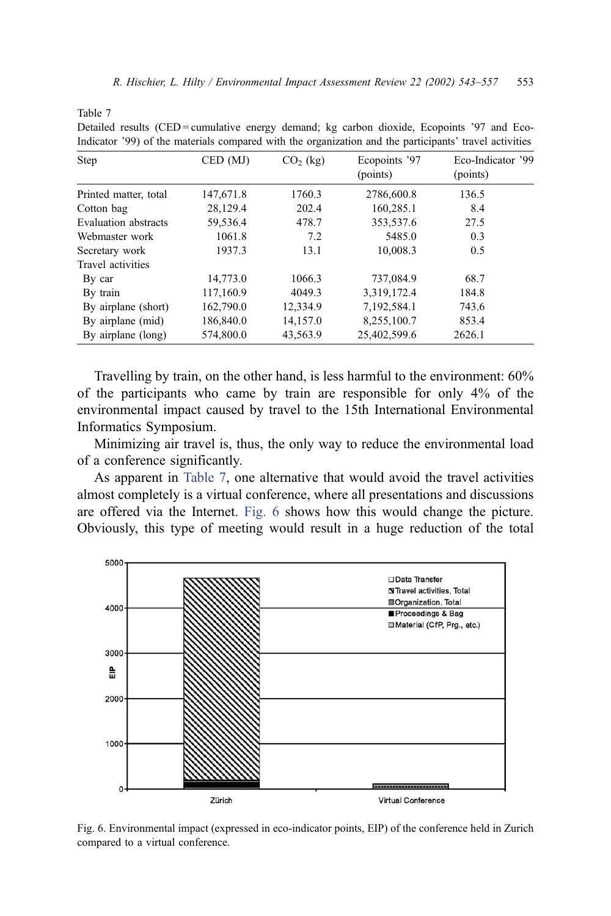Table 7

Detailed results (CED = cumulative energy demand; kg carbon dioxide, Ecopoints '97 and Eco-Indicator '99) of the materials compared with the organization and the participants' travel activities

| Step                     | CED (MJ)  | $CO2$ (kg) | Ecopoints '97<br>(points) | Eco-Indicator '99<br>(points) |
|--------------------------|-----------|------------|---------------------------|-------------------------------|
| Printed matter, total    | 147,671.8 | 1760.3     | 2786,600.8                | 136.5                         |
| Cotton bag               | 28,129.4  | 202.4      | 160,285.1                 | 8.4                           |
| Evaluation abstracts     | 59,536.4  | 478.7      | 353,537.6                 | 27.5                          |
| Webmaster work           | 1061.8    | 7.2        | 5485.0                    | 0.3                           |
| Secretary work           | 1937.3    | 13.1       | 10,008.3                  | 0.5                           |
| <b>Travel</b> activities |           |            |                           |                               |
| By car                   | 14,773.0  | 1066.3     | 737,084.9                 | 68.7                          |
| By train                 | 117,160.9 | 4049.3     | 3,319,172.4               | 184.8                         |
| By airplane (short)      | 162,790.0 | 12,334.9   | 7,192,584.1               | 743.6                         |
| By airplane (mid)        | 186,840.0 | 14,157.0   | 8,255,100.7               | 853.4                         |
| By airplane (long)       | 574,800.0 | 43.563.9   | 25,402,599.6              | 2626.1                        |

Travelling by train, on the other hand, is less harmful to the environment: 60% of the participants who came by train are responsible for only 4% of the environmental impact caused by travel to the 15th International Environmental Informatics Symposium.

Minimizing air travel is, thus, the only way to reduce the environmental load of a conference significantly.

As apparent in Table 7, one alternative that would avoid the travel activities almost completely is a virtual conference, where all presentations and discussions are offered via the Internet. Fig. 6 shows how this would change the picture. Obviously, this type of meeting would result in a huge reduction of the total



Fig. 6. Environmental impact (expressed in eco-indicator points, EIP) of the conference held in Zurich compared to a virtual conference.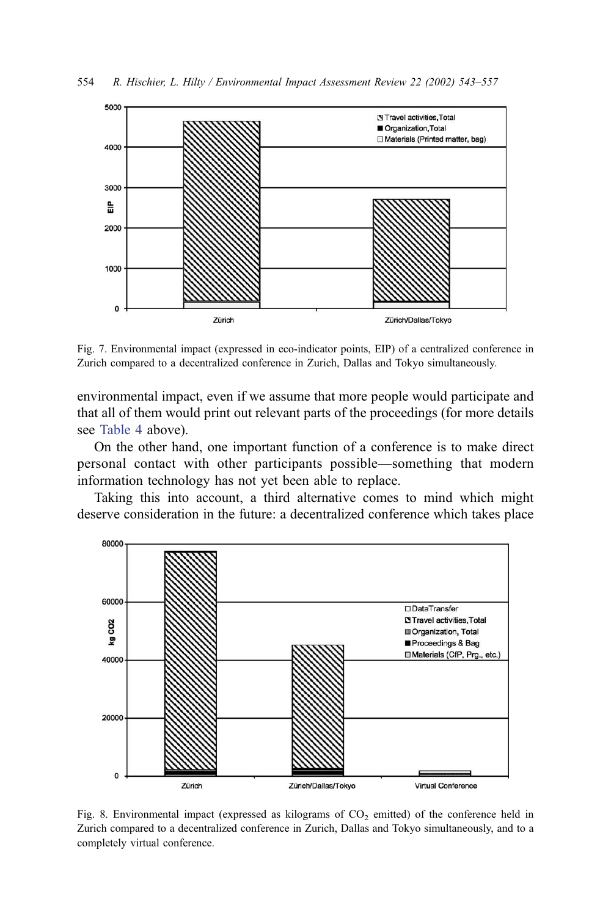<span id="page-11-0"></span>

Fig. 7. Environmental impact (expressed in eco-indicator points, EIP) of a centralized conference in Zurich compared to a decentralized conference in Zurich, Dallas and Tokyo simultaneously.

environmental impact, even if we assume that more people would participate and that all of them would print out relevant parts of the proceedings (for more details see [Table 4](#page-4-0) above).

On the other hand, one important function of a conference is to make direct personal contact with other participants possible—something that modern information technology has not yet been able to replace.

Taking this into account, a third alternative comes to mind which might deserve consideration in the future: a decentralized conference which takes place



Fig. 8. Environmental impact (expressed as kilograms of  $CO<sub>2</sub>$  emitted) of the conference held in Zurich compared to a decentralized conference in Zurich, Dallas and Tokyo simultaneously, and to a completely virtual conference.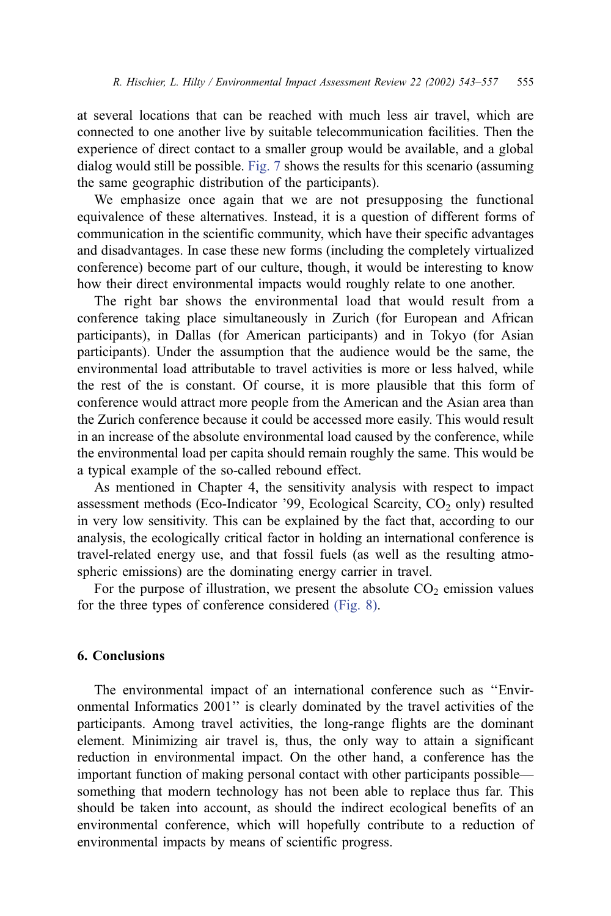at several locations that can be reached with much less air travel, which are connected to one another live by suitable telecommunication facilities. Then the experience of direct contact to a smaller group would be available, and a global dialog would still be possible. [Fig. 7](#page-11-0) shows the results for this scenario (assuming the same geographic distribution of the participants).

We emphasize once again that we are not presupposing the functional equivalence of these alternatives. Instead, it is a question of different forms of communication in the scientific community, which have their specific advantages and disadvantages. In case these new forms (including the completely virtualized conference) become part of our culture, though, it would be interesting to know how their direct environmental impacts would roughly relate to one another.

The right bar shows the environmental load that would result from a conference taking place simultaneously in Zurich (for European and African participants), in Dallas (for American participants) and in Tokyo (for Asian participants). Under the assumption that the audience would be the same, the environmental load attributable to travel activities is more or less halved, while the rest of the is constant. Of course, it is more plausible that this form of conference would attract more people from the American and the Asian area than the Zurich conference because it could be accessed more easily. This would result in an increase of the absolute environmental load caused by the conference, while the environmental load per capita should remain roughly the same. This would be a typical example of the so-called rebound effect.

As mentioned in Chapter 4, the sensitivity analysis with respect to impact assessment methods (Eco-Indicator '99, Ecological Scarcity,  $CO<sub>2</sub>$  only) resulted in very low sensitivity. This can be explained by the fact that, according to our analysis, the ecologically critical factor in holding an international conference is travel-related energy use, and that fossil fuels (as well as the resulting atmospheric emissions) are the dominating energy carrier in travel.

For the purpose of illustration, we present the absolute  $CO<sub>2</sub>$  emission values for the three types of conference considered [\(Fig. 8\).](#page-11-0)

#### 6. Conclusions

The environmental impact of an international conference such as ''Environmental Informatics 2001'' is clearly dominated by the travel activities of the participants. Among travel activities, the long-range flights are the dominant element. Minimizing air travel is, thus, the only way to attain a significant reduction in environmental impact. On the other hand, a conference has the important function of making personal contact with other participants possible something that modern technology has not been able to replace thus far. This should be taken into account, as should the indirect ecological benefits of an environmental conference, which will hopefully contribute to a reduction of environmental impacts by means of scientific progress.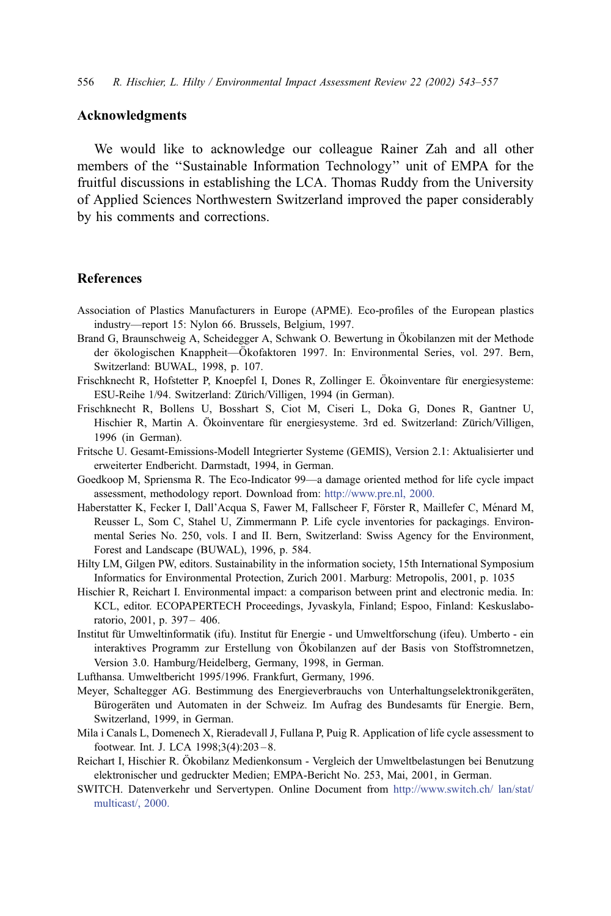#### <span id="page-13-0"></span>Acknowledgments

We would like to acknowledge our colleague Rainer Zah and all other members of the ''Sustainable Information Technology'' unit of EMPA for the fruitful discussions in establishing the LCA. Thomas Ruddy from the University of Applied Sciences Northwestern Switzerland improved the paper considerably by his comments and corrections.

#### References

- Association of Plastics Manufacturers in Europe (APME). Eco-profiles of the European plastics industry—report 15: Nylon 66. Brussels, Belgium, 1997.
- Brand G, Braunschweig A, Scheidegger A, Schwank O. Bewertung in Ökobilanzen mit der Methode der ökologischen Knappheit—Ökofaktoren 1997. In: Environmental Series, vol. 297. Bern, Switzerland: BUWAL, 1998, p. 107.
- Frischknecht R, Hofstetter P, Knoepfel I, Dones R, Zollinger E. Ökoinventare für energiesysteme: ESU-Reihe 1/94. Switzerland: Zürich/Villigen, 1994 (in German).
- Frischknecht R, Bollens U, Bosshart S, Ciot M, Ciseri L, Doka G, Dones R, Gantner U, Hischier R, Martin A. Ökoinventare für energiesysteme. 3rd ed. Switzerland: Zürich/Villigen, 1996 (in German).
- Fritsche U. Gesamt-Emissions-Modell Integrierter Systeme (GEMIS), Version 2.1: Aktualisierter und erweiterter Endbericht. Darmstadt, 1994, in German.
- Goedkoop M, Spriensma R. The Eco-Indicator 99—a damage oriented method for life cycle impact assessment, methodology report. Download from: [http://www.pre.nl,]( http:\\www.pre.nl ) 2000.
- Haberstatter K, Fecker I, Dall'Acqua S, Fawer M, Fallscheer F, Förster R, Maillefer C, Ménard M, Reusser L, Som C, Stahel U, Zimmermann P. Life cycle inventories for packagings. Environmental Series No. 250, vols. I and II. Bern, Switzerland: Swiss Agency for the Environment, Forest and Landscape (BUWAL), 1996, p. 584.
- Hilty LM, Gilgen PW, editors. Sustainability in the information society, 15th International Symposium Informatics for Environmental Protection, Zurich 2001. Marburg: Metropolis, 2001, p. 1035
- Hischier R, Reichart I. Environmental impact: a comparison between print and electronic media. In: KCL, editor. ECOPAPERTECH Proceedings, Jyvaskyla, Finland; Espoo, Finland: Keskuslaboratorio, 2001, p. 397 - 406.
- Institut für Umweltinformatik (ifu). Institut für Energie und Umweltforschung (ifeu). Umberto ein interaktives Programm zur Erstellung von Ökobilanzen auf der Basis von Stoffstromnetzen, Version 3.0. Hamburg/Heidelberg, Germany, 1998, in German.
- Lufthansa. Umweltbericht 1995/1996. Frankfurt, Germany, 1996.
- Meyer, Schaltegger AG. Bestimmung des Energieverbrauchs von Unterhaltungselektronikgeräten, Bürogeräten und Automaten in der Schweiz. Im Aufrag des Bundesamts für Energie. Bern, Switzerland, 1999, in German.
- Mila i Canals L, Domenech X, Rieradevall J, Fullana P, Puig R. Application of life cycle assessment to footwear. Int. J. LCA 1998;3(4):203 – 8.
- Reichart I, Hischier R. Ökobilanz Medienkonsum Vergleich der Umweltbelastungen bei Benutzung elektronischer und gedruckter Medien; EMPA-Bericht No. 253, Mai, 2001, in German.
- SWITCH. Datenverkehr und Servertypen. Online Document from [http://www.switch.ch/ lan/stat/]( http:\\www.switch.ch\ lan\stat\multicast\ ) multicast/, 2000.